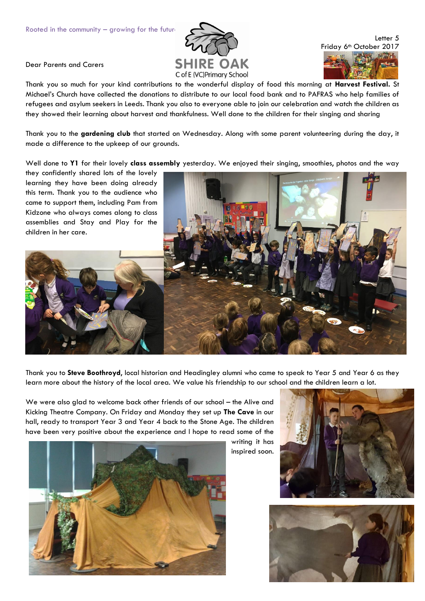

Letter 5 Friday 6<sup>th</sup> October 2017

Dear Parents and Carers

Thank you so much for your kind contributions to the wonderful display of food this morning at **Harvest Festival.** St Michael's Church have collected the donations to distribute to our local food bank and to PAFRAS who help families of refugees and asylum seekers in Leeds. Thank you also to everyone able to join our celebration and watch the children as they showed their learning about harvest and thankfulness. Well done to the children for their singing and sharing

Thank you to the **gardening club** that started on Wednesday. Along with some parent volunteering during the day, it made a difference to the upkeep of our grounds.

Well done to **Y1** for their lovely **class assembly** yesterday. We enjoyed their singing, smoothies, photos and the way

they confidently shared lots of the lovely learning they have been doing already this term. Thank you to the audience who came to support them, including Pam from Kidzone who always comes along to class assemblies and Stay and Play for the children in her care.



Thank you to **Steve Boothroyd**, local historian and Headingley alumni who came to speak to Year 5 and Year 6 as they learn more about the history of the local area. We value his friendship to our school and the children learn a lot.

We were also glad to welcome back other friends of our school – the Alive and Kicking Theatre Company. On Friday and Monday they set up **The Cave** in our hall, ready to transport Year 3 and Year 4 back to the Stone Age. The children have been very positive about the experience and I hope to read some of the



writing it has inspired soon.



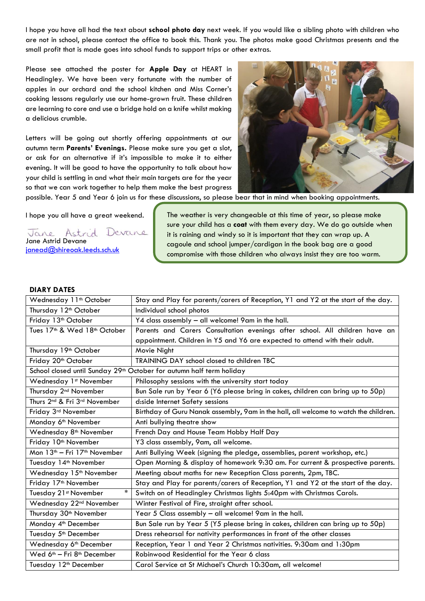I hope you have all had the text about **school photo day** next week. If you would like a sibling photo with children who are not in school, please contact the office to book this. Thank you. The photos make good Christmas presents and the small profit that is made goes into school funds to support trips or other extras.

Please see attached the poster for **Apple Day** at HEART in Headingley. We have been very fortunate with the number of apples in our orchard and the school kitchen and Miss Corner's cooking lessons regularly use our home-grown fruit. These children are learning to core and use a bridge hold on a knife whilst making a delicious crumble.

Letters will be going out shortly offering appointments at our autumn term **Parents' Evenings.** Please make sure you get a slot, or ask for an alternative if it's impossible to make it to either evening. It will be good to have the opportunity to talk about how your child is settling in and what their main targets are for the year so that we can work together to help them make the best progress



possible. Year 5 and Year 6 join us for these discussions, so please bear that in mind when booking appointments.

I hope you all have a great weekend.

Jane Astrid Devane Jane Astrid Devane janead@shireoak.leeds.sch.u

The weather is very changeable at this time of year, so please make sure your child has a **coat** with them every day. We do go outside when it is raining and windy so it is important that they can wrap up. A cagoule and school jumper/cardigan in the book bag are a good compromise with those children who always insist they are too warm.

## **DIARY DATES**

| Wednesday 11 <sup>th</sup> October                                               | Stay and Play for parents/carers of Reception, Y1 and Y2 at the start of the day.    |
|----------------------------------------------------------------------------------|--------------------------------------------------------------------------------------|
| Thursday 12 <sup>th</sup> October                                                | Individual school photos                                                             |
| Friday 13 <sup>th</sup> October                                                  | Y4 class assembly - all welcome! 9am in the hall.                                    |
| Tues 17 <sup>th</sup> & Wed 18 <sup>th</sup> October                             | Parents and Carers Consultation evenings after school. All children have an          |
|                                                                                  | appointment. Children in Y5 and Y6 are expected to attend with their adult.          |
| Thursday 19 <sup>th</sup> October                                                | Movie Night                                                                          |
| Friday 20 <sup>th</sup> October                                                  | TRAINING DAY school closed to children TBC                                           |
| School closed until Sunday 29 <sup>th</sup> October for autumn half term holiday |                                                                                      |
| Wednesday 1st November                                                           | Philosophy sessions with the university start today                                  |
| Thursday 2 <sup>nd</sup> November                                                | Bun Sale run by Year 6 (Y6 please bring in cakes, children can bring up to 50p)      |
| Thurs 2 <sup>nd</sup> & Fri 3 <sup>rd</sup> November                             | d:side Internet Safety sessions                                                      |
| Friday 3rd November                                                              | Birthday of Guru Nanak assembly, 9am in the hall, all welcome to watch the children. |
| Monday 6 <sup>th</sup> November                                                  | Anti bullying theatre show                                                           |
| Wednesday 8 <sup>th</sup> November                                               | French Day and House Team Hobby Half Day                                             |
| Friday 10 <sup>th</sup> November                                                 | Y3 class assembly, 9am, all welcome.                                                 |
| Mon 13 <sup>th</sup> - Fri 17 <sup>th</sup> November                             | Anti Bullying Week (signing the pledge, assemblies, parent workshop, etc.)           |
| Tuesday 14 <sup>th</sup> November                                                | Open Morning & display of homework 9:30 am. For current & prospective parents.       |
| Wednesday 15 <sup>th</sup> November                                              | Meeting about maths for new Reception Class parents, 2pm, TBC.                       |
| Friday 17 <sup>th</sup> November                                                 | Stay and Play for parents/carers of Reception, Y1 and Y2 at the start of the day.    |
| $\ast$<br>Tuesday 21st November                                                  | Switch on of Headingley Christmas lights 5:40pm with Christmas Carols.               |
| Wednesday 22 <sup>nd</sup> November                                              | Winter Festival of Fire, straight after school.                                      |
| Thursday 30 <sup>th</sup> November                                               | Year 5 Class assembly - all welcome! 9am in the hall.                                |
| Monday 4 <sup>th</sup> December                                                  | Bun Sale run by Year 5 (Y5 please bring in cakes, children can bring up to 50p)      |
| Tuesday 5 <sup>th</sup> December                                                 | Dress rehearsal for nativity performances in front of the other classes              |
| Wednesday 6 <sup>th</sup> December                                               | Reception, Year 1 and Year 2 Christmas nativities. 9:30am and 1:30pm                 |
| Wed 6 <sup>th</sup> - Fri 8 <sup>th</sup> December                               | Robinwood Residential for the Year 6 class                                           |
| Tuesday 12 <sup>th</sup> December                                                | Carol Service at St Michael's Church 10:30am, all welcome!                           |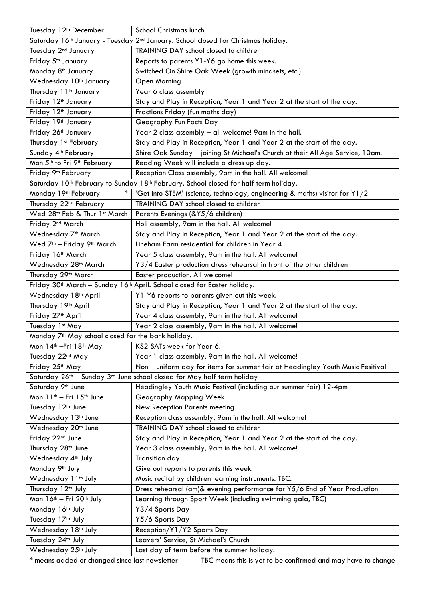| Tuesday 12 <sup>th</sup> December                                                                              | School Christmas lunch.                                                                                      |  |
|----------------------------------------------------------------------------------------------------------------|--------------------------------------------------------------------------------------------------------------|--|
|                                                                                                                | Saturday 16 <sup>th</sup> January - Tuesday 2 <sup>nd</sup> January. School closed for Christmas holiday.    |  |
| Tuesday 2nd January                                                                                            | TRAINING DAY school closed to children                                                                       |  |
| Friday 5 <sup>th</sup> January                                                                                 | Reports to parents Y1-Y6 go home this week.                                                                  |  |
| Monday 8 <sup>th</sup> January                                                                                 | Switched On Shire Oak Week (growth mindsets, etc.)                                                           |  |
| Wednesday 10 <sup>th</sup> January                                                                             | <b>Open Morning</b>                                                                                          |  |
| Thursday 11 <sup>th</sup> January                                                                              | Year 6 class assembly                                                                                        |  |
| Friday 12 <sup>th</sup> January                                                                                | Stay and Play in Reception, Year 1 and Year 2 at the start of the day.                                       |  |
| Friday 12 <sup>th</sup> January                                                                                | Fractions Friday (fun maths day)                                                                             |  |
| Friday 19th January                                                                                            | Geography Fun Facts Day                                                                                      |  |
| Friday 26 <sup>th</sup> January                                                                                | Year 2 class assembly - all welcome! 9am in the hall.                                                        |  |
| Thursday 1st February                                                                                          | Stay and Play in Reception, Year 1 and Year 2 at the start of the day.                                       |  |
| Sunday 4 <sup>th</sup> February                                                                                | Shire Oak Sunday - joining St Michael's Church at their All Age Service, 10am.                               |  |
| Mon 5 <sup>th</sup> to Fri 9 <sup>th</sup> February                                                            | Reading Week will include a dress up day.                                                                    |  |
| Friday 9 <sup>th</sup> February                                                                                | Reception Class assembly, 9am in the hall. All welcome!                                                      |  |
|                                                                                                                | Saturday 10 <sup>th</sup> February to Sunday 18 <sup>th</sup> February. School closed for half term holiday. |  |
| Monday 19 <sup>th</sup> February<br>$\ast$                                                                     | 'Get into STEM' (science, technology, engineering & maths) visitor for Y1/2                                  |  |
| Thursday 22 <sup>nd</sup> February                                                                             | TRAINING DAY school closed to children                                                                       |  |
| Wed 28th Feb & Thur 1st March                                                                                  | Parents Evenings (&Y5/6 children)                                                                            |  |
| Friday 2 <sup>nd</sup> March                                                                                   | Holi assembly, 9am in the hall. All welcome!                                                                 |  |
| Wednesday 7 <sup>th</sup> March                                                                                | Stay and Play in Reception, Year 1 and Year 2 at the start of the day.                                       |  |
| Wed 7 <sup>th</sup> - Friday 9 <sup>th</sup> March                                                             | Lineham Farm residential for children in Year 4                                                              |  |
| Friday 16th March                                                                                              | Year 5 class assembly, 9am in the hall. All welcome!                                                         |  |
| Wednesday 28 <sup>th</sup> March                                                                               | Y3/4 Easter production dress rehearsal in front of the other children                                        |  |
| Thursday 29 <sup>th</sup> March                                                                                | Easter production. All welcome!                                                                              |  |
|                                                                                                                | Friday 30 <sup>th</sup> March - Sunday 16 <sup>th</sup> April. School closed for Easter holiday.             |  |
| Wednesday 18 <sup>th</sup> April                                                                               | Y1-Y6 reports to parents given out this week.                                                                |  |
| Thursday 19th April                                                                                            | Stay and Play in Reception, Year 1 and Year 2 at the start of the day.                                       |  |
| Friday 27 <sup>th</sup> April                                                                                  | Year 4 class assembly, 9am in the hall. All welcome!                                                         |  |
| Tuesday 1st May                                                                                                | Year 2 class assembly, 9am in the hall. All welcome!                                                         |  |
| Monday 7 <sup>th</sup> May school closed for the bank holiday.                                                 |                                                                                                              |  |
| Mon 14th —Fri 18th May                                                                                         | KS2 SATs week for Year 6.                                                                                    |  |
| Tuesday 22 <sup>nd</sup> May                                                                                   | Year 1 class assembly, 9am in the hall. All welcome!                                                         |  |
| Friday 25th May                                                                                                | Non - uniform day for items for summer fair at Headingley Youth Music Fesitival                              |  |
|                                                                                                                | Saturday 26 <sup>th</sup> – Sunday 3 <sup>rd</sup> June school closed for May half term holiday              |  |
| Saturday 9 <sup>th</sup> June                                                                                  | Headingley Youth Music Festival (including our summer fair) 12-4pm                                           |  |
| Mon 11 <sup>th</sup> - Fri 15 <sup>th</sup> June                                                               | Geography Mapping Week                                                                                       |  |
|                                                                                                                |                                                                                                              |  |
| Tuesday 12 <sup>th</sup> June                                                                                  | New Reception Parents meeting                                                                                |  |
| Wednesday 13 <sup>th</sup> June                                                                                | Reception class assembly, 9am in the hall. All welcome!                                                      |  |
| Wednesday 20 <sup>th</sup> June                                                                                | TRAINING DAY school closed to children                                                                       |  |
| Friday 22nd June                                                                                               | Stay and Play in Reception, Year 1 and Year 2 at the start of the day.                                       |  |
| Thursday 28 <sup>th</sup> June                                                                                 | Year 3 class assembly, 9am in the hall. All welcome!                                                         |  |
| Wednesday 4 <sup>th</sup> July                                                                                 | <b>Transition day</b>                                                                                        |  |
| Monday 9th July                                                                                                | Give out reports to parents this week.                                                                       |  |
| Wednesday 11 <sup>th</sup> July                                                                                | Music recital by children learning instruments. TBC.                                                         |  |
| Thursday 12 <sup>th</sup> July                                                                                 | Dress rehearsal (am)& evening performance for Y5/6 End of Year Production                                    |  |
| Mon 16th - Fri 20th July                                                                                       | Learning through Sport Week (including swimming gala, TBC)                                                   |  |
| Monday 16 <sup>th</sup> July                                                                                   | Y3/4 Sports Day                                                                                              |  |
| Tuesday 17 <sup>th</sup> July                                                                                  | Y5/6 Sports Day                                                                                              |  |
| Wednesday 18 <sup>th</sup> July                                                                                | Reception/Y1/Y2 Sports Day                                                                                   |  |
| Tuesday 24 <sup>th</sup> July                                                                                  | Leavers' Service, St Michael's Church                                                                        |  |
| Wednesday 25 <sup>th</sup> July                                                                                | Last day of term before the summer holiday.                                                                  |  |
| * means added or changed since last newsletter<br>TBC means this is yet to be confirmed and may have to change |                                                                                                              |  |